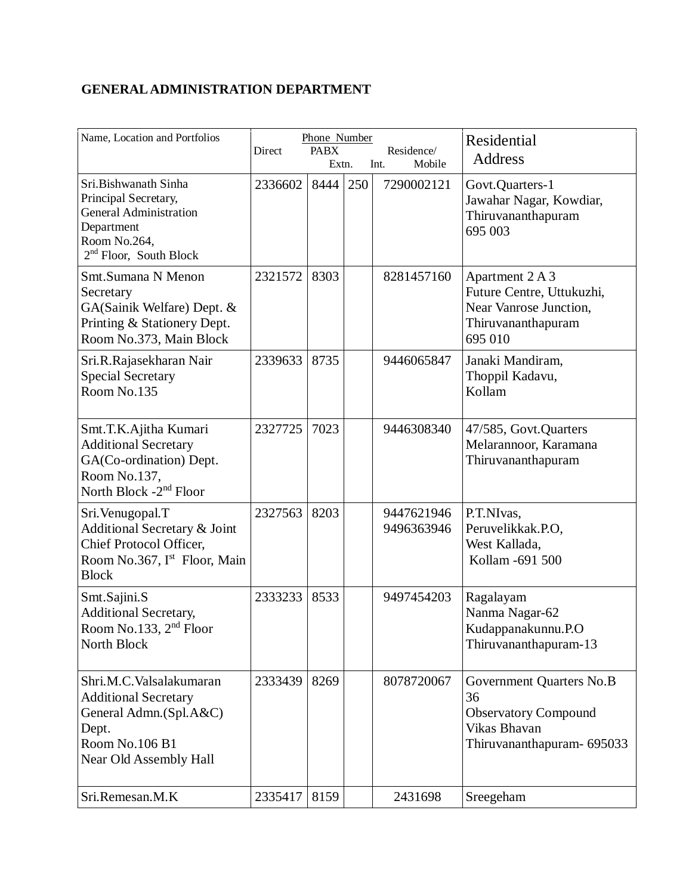## **GENERAL ADMINISTRATION DEPARTMENT**

| Name, Location and Portfolios                                                                                                            | Direct  | Phone Number<br><b>PABX</b><br>Extn. |     | Residence/<br>Int.<br>Mobile | Residential<br><b>Address</b>                                                                               |
|------------------------------------------------------------------------------------------------------------------------------------------|---------|--------------------------------------|-----|------------------------------|-------------------------------------------------------------------------------------------------------------|
| Sri.Bishwanath Sinha<br>Principal Secretary,<br><b>General Administration</b><br>Department<br>Room No.264,<br>$2nd$ Floor, South Block  | 2336602 | 8444                                 | 250 | 7290002121                   | Govt.Quarters-1<br>Jawahar Nagar, Kowdiar,<br>Thiruvananthapuram<br>695 003                                 |
| Smt.Sumana N Menon<br>Secretary<br>GA(Sainik Welfare) Dept. &<br>Printing & Stationery Dept.<br>Room No.373, Main Block                  | 2321572 | 8303                                 |     | 8281457160                   | Apartment 2 A 3<br>Future Centre, Uttukuzhi,<br>Near Vanrose Junction,<br>Thiruvananthapuram<br>695 010     |
| Sri.R.Rajasekharan Nair<br><b>Special Secretary</b><br>Room No.135                                                                       | 2339633 | 8735                                 |     | 9446065847                   | Janaki Mandiram,<br>Thoppil Kadavu,<br>Kollam                                                               |
| Smt.T.K.Ajitha Kumari<br><b>Additional Secretary</b><br>GA(Co-ordination) Dept.<br>Room No.137,<br>North Block -2 <sup>nd</sup> Floor    | 2327725 | 7023                                 |     | 9446308340                   | 47/585, Govt.Quarters<br>Melarannoor, Karamana<br>Thiruvananthapuram                                        |
| Sri. Venugopal. T<br>Additional Secretary & Joint<br>Chief Protocol Officer,<br>Room No.367, I <sup>st</sup> Floor, Main<br><b>Block</b> | 2327563 | 8203                                 |     | 9447621946<br>9496363946     | P.T.NIvas,<br>Peruvelikkak.P.O,<br>West Kallada,<br>Kollam -691 500                                         |
| Smt.Sajini.S<br><b>Additional Secretary,</b><br>Room No.133, 2 <sup>nd</sup> Floor<br>North Block                                        | 2333233 | 8533                                 |     | 9497454203                   | Ragalayam<br>Nanma Nagar-62<br>Kudappanakunnu.P.O<br>Thiruvananthapuram-13                                  |
| Shri.M.C.Valsalakumaran<br><b>Additional Secretary</b><br>General Admn.(Spl.A&C)<br>Dept.<br>Room No.106 B1<br>Near Old Assembly Hall    | 2333439 | 8269                                 |     | 8078720067                   | Government Quarters No.B<br>36<br><b>Observatory Compound</b><br>Vikas Bhavan<br>Thiruvananthapuram- 695033 |
| Sri.Remesan.M.K                                                                                                                          | 2335417 | 8159                                 |     | 2431698                      | Sreegeham                                                                                                   |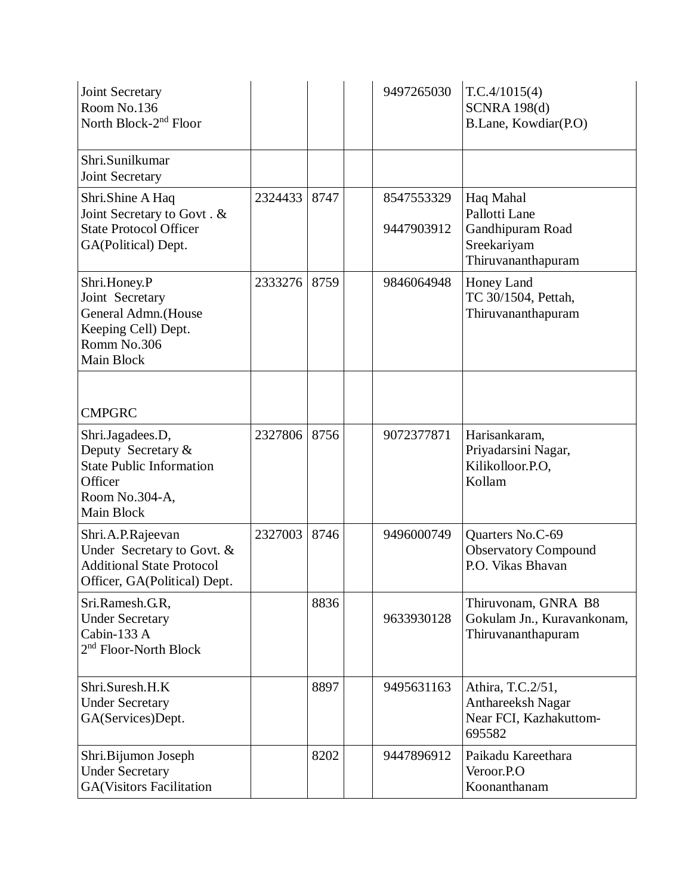| Joint Secretary<br>Room No.136<br>North Block-2 <sup>nd</sup> Floor<br>Shri.Sunilkumar<br><b>Joint Secretary</b>     |         |      | 9497265030               | T.C.4/1015(4)<br><b>SCNRA 198(d)</b><br>B.Lane, Kowdiar(P.O)                        |
|----------------------------------------------------------------------------------------------------------------------|---------|------|--------------------------|-------------------------------------------------------------------------------------|
| Shri.Shine A Haq<br>Joint Secretary to Govt. &<br><b>State Protocol Officer</b><br>GA(Political) Dept.               | 2324433 | 8747 | 8547553329<br>9447903912 | Haq Mahal<br>Pallotti Lane<br>Gandhipuram Road<br>Sreekariyam<br>Thiruvananthapuram |
| Shri.Honey.P<br>Joint Secretary<br>General Admn.(House<br>Keeping Cell) Dept.<br>Romm No.306<br>Main Block           | 2333276 | 8759 | 9846064948               | Honey Land<br>TC 30/1504, Pettah,<br>Thiruvananthapuram                             |
| <b>CMPGRC</b>                                                                                                        |         |      |                          |                                                                                     |
| Shri.Jagadees.D,<br>Deputy Secretary &<br><b>State Public Information</b><br>Officer<br>Room No.304-A,<br>Main Block | 2327806 | 8756 | 9072377871               | Harisankaram,<br>Priyadarsini Nagar,<br>Kilikolloor.P.O.<br>Kollam                  |
| Shri.A.P.Rajeevan<br>Under Secretary to Govt. &<br><b>Additional State Protocol</b><br>Officer, GA(Political) Dept.  | 2327003 | 8746 | 9496000749               | Quarters No.C-69<br><b>Observatory Compound</b><br>P.O. Vikas Bhavan                |
| Sri.Ramesh.G.R,<br><b>Under Secretary</b><br>Cabin-133 A<br>2 <sup>nd</sup> Floor-North Block                        |         | 8836 | 9633930128               | Thiruvonam, GNRA B8<br>Gokulam Jn., Kuravankonam,<br>Thiruvananthapuram             |
| Shri.Suresh.H.K<br><b>Under Secretary</b><br>GA(Services)Dept.                                                       |         | 8897 | 9495631163               | Athira, T.C.2/51,<br>Anthareeksh Nagar<br>Near FCI, Kazhakuttom-<br>695582          |
| Shri.Bijumon Joseph<br><b>Under Secretary</b><br><b>GA(Visitors Facilitation</b>                                     |         | 8202 | 9447896912               | Paikadu Kareethara<br>Veroor.P.O<br>Koonanthanam                                    |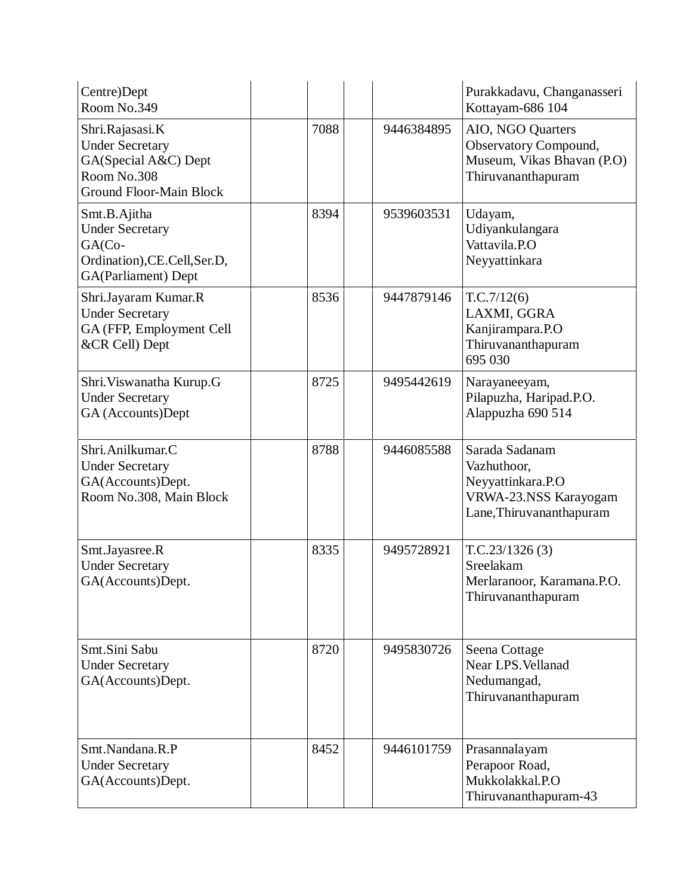| Centre)Dept<br>Room No.349                                                                                         |      |            | Purakkadavu, Changanasseri<br>Kottayam-686 104                                                          |
|--------------------------------------------------------------------------------------------------------------------|------|------------|---------------------------------------------------------------------------------------------------------|
| Shri.Rajasasi.K<br><b>Under Secretary</b><br>GA(Special A&C) Dept<br>Room No.308<br><b>Ground Floor-Main Block</b> | 7088 | 9446384895 | AIO, NGO Quarters<br>Observatory Compound,<br>Museum, Vikas Bhavan (P.O)<br>Thiruvananthapuram          |
| Smt.B.Ajitha<br><b>Under Secretary</b><br>GA(Co-<br>Ordination), CE. Cell, Ser. D,<br>GA(Parliament) Dept          | 8394 | 9539603531 | Udayam,<br>Udiyankulangara<br>Vattavila.P.O<br>Neyyattinkara                                            |
| Shri.Jayaram Kumar.R<br><b>Under Secretary</b><br>GA (FFP, Employment Cell<br>&CR Cell) Dept                       | 8536 | 9447879146 | T.C.7/12(6)<br>LAXMI, GGRA<br>Kanjirampara.P.O<br>Thiruvananthapuram<br>695 030                         |
| Shri. Viswanatha Kurup.G<br><b>Under Secretary</b><br>GA (Accounts)Dept                                            | 8725 | 9495442619 | Narayaneeyam,<br>Pilapuzha, Haripad.P.O.<br>Alappuzha 690 514                                           |
| Shri.Anilkumar.C<br><b>Under Secretary</b><br>GA(Accounts)Dept.<br>Room No.308, Main Block                         | 8788 | 9446085588 | Sarada Sadanam<br>Vazhuthoor,<br>Neyyattinkara.P.O<br>VRWA-23.NSS Karayogam<br>Lane, Thiruvananthapuram |
| Smt.Jayasree.R<br><b>Under Secretary</b><br>GA(Accounts)Dept.                                                      | 8335 | 9495728921 | T.C.23/1326(3)<br>Sreelakam<br>Merlaranoor, Karamana.P.O.<br>Thiruvananthapuram                         |
| Smt.Sini Sabu<br><b>Under Secretary</b><br>GA(Accounts)Dept.                                                       | 8720 | 9495830726 | Seena Cottage<br>Near LPS. Vellanad<br>Nedumangad,<br>Thiruvananthapuram                                |
| Smt.Nandana.R.P<br><b>Under Secretary</b><br>GA(Accounts)Dept.                                                     | 8452 | 9446101759 | Prasannalayam<br>Perapoor Road,<br>Mukkolakkal.P.O<br>Thiruvananthapuram-43                             |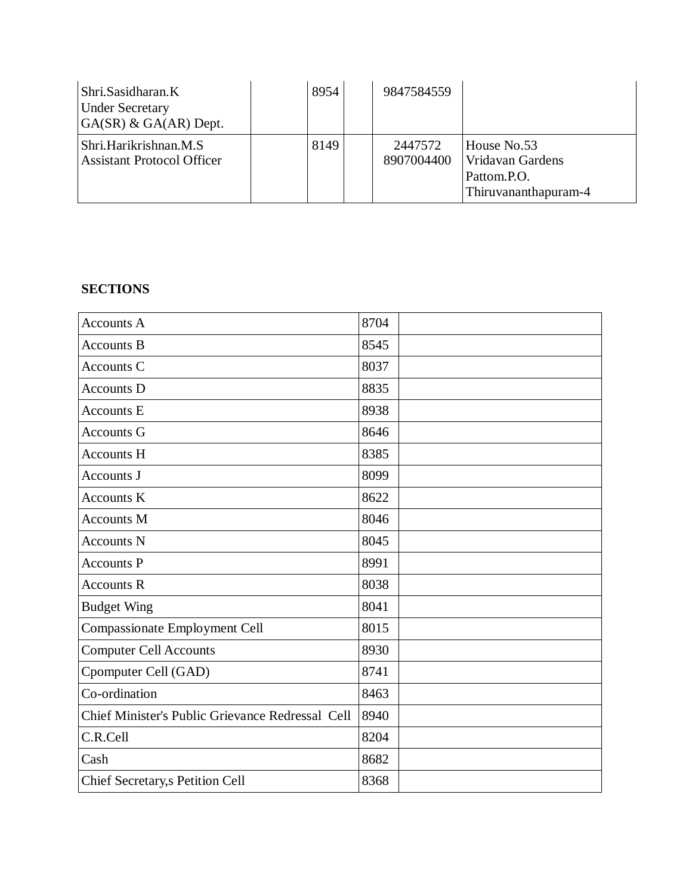| Shri.Sasidharan.K<br><b>Under Secretary</b><br>$G(A(SR) \& GA(AR)$ Dept. | 8954 | 9847584559            |                                                                        |
|--------------------------------------------------------------------------|------|-----------------------|------------------------------------------------------------------------|
| Shri.Harikrishnan.M.S<br><b>Assistant Protocol Officer</b>               | 8149 | 2447572<br>8907004400 | House No.53<br>Vridavan Gardens<br>Pattom.P.O.<br>Thiruvananthapuram-4 |

## **SECTIONS**

| <b>Accounts A</b>                                | 8704 |
|--------------------------------------------------|------|
| <b>Accounts B</b>                                | 8545 |
| Accounts C                                       | 8037 |
| <b>Accounts D</b>                                | 8835 |
| <b>Accounts E</b>                                | 8938 |
| <b>Accounts G</b>                                | 8646 |
| <b>Accounts H</b>                                | 8385 |
| Accounts J                                       | 8099 |
| <b>Accounts K</b>                                | 8622 |
| <b>Accounts M</b>                                | 8046 |
| <b>Accounts N</b>                                | 8045 |
| <b>Accounts P</b>                                | 8991 |
| <b>Accounts R</b>                                | 8038 |
| <b>Budget Wing</b>                               | 8041 |
| Compassionate Employment Cell                    | 8015 |
| <b>Computer Cell Accounts</b>                    | 8930 |
| Cpomputer Cell (GAD)                             | 8741 |
| Co-ordination                                    | 8463 |
| Chief Minister's Public Grievance Redressal Cell | 8940 |
| C.R.Cell                                         | 8204 |
| Cash                                             | 8682 |
| Chief Secretary,s Petition Cell                  | 8368 |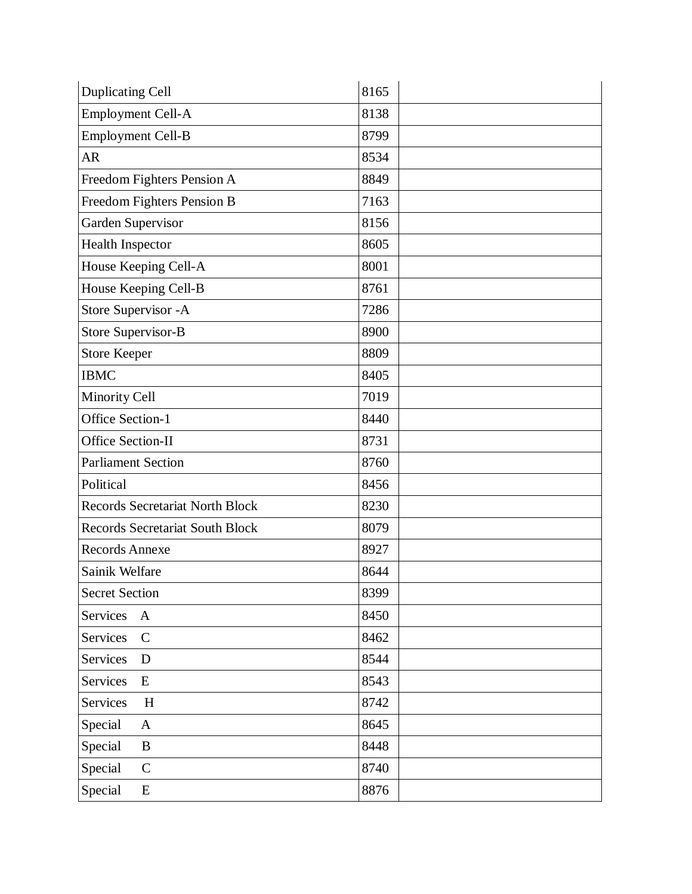| <b>Duplicating Cell</b>                | 8165 |
|----------------------------------------|------|
| <b>Employment Cell-A</b>               | 8138 |
| <b>Employment Cell-B</b>               | 8799 |
| <b>AR</b>                              | 8534 |
| Freedom Fighters Pension A             | 8849 |
| Freedom Fighters Pension B             | 7163 |
| Garden Supervisor                      | 8156 |
| Health Inspector                       | 8605 |
| House Keeping Cell-A                   | 8001 |
| House Keeping Cell-B                   | 8761 |
| Store Supervisor - A                   | 7286 |
| <b>Store Supervisor-B</b>              | 8900 |
| <b>Store Keeper</b>                    | 8809 |
| <b>IBMC</b>                            | 8405 |
| <b>Minority Cell</b>                   | 7019 |
| <b>Office Section-1</b>                | 8440 |
| Office Section-II                      | 8731 |
| <b>Parliament Section</b>              | 8760 |
| Political                              | 8456 |
| <b>Records Secretariat North Block</b> | 8230 |
| <b>Records Secretariat South Block</b> | 8079 |
| <b>Records Annexe</b>                  | 8927 |
| Sainik Welfare                         | 8644 |
| <b>Secret Section</b>                  | 8399 |
| Services<br>$\mathbf{A}$               | 8450 |
| Services<br>$\mathsf{C}$               | 8462 |
| Services<br>D                          | 8544 |
| Services<br>${\bf E}$                  | 8543 |
| Services<br>H                          | 8742 |
| Special<br>$\mathbf{A}$                | 8645 |
| Special<br>B                           | 8448 |
| Special<br>$\mathbf C$                 | 8740 |
| Special<br>${\bf E}$                   | 8876 |